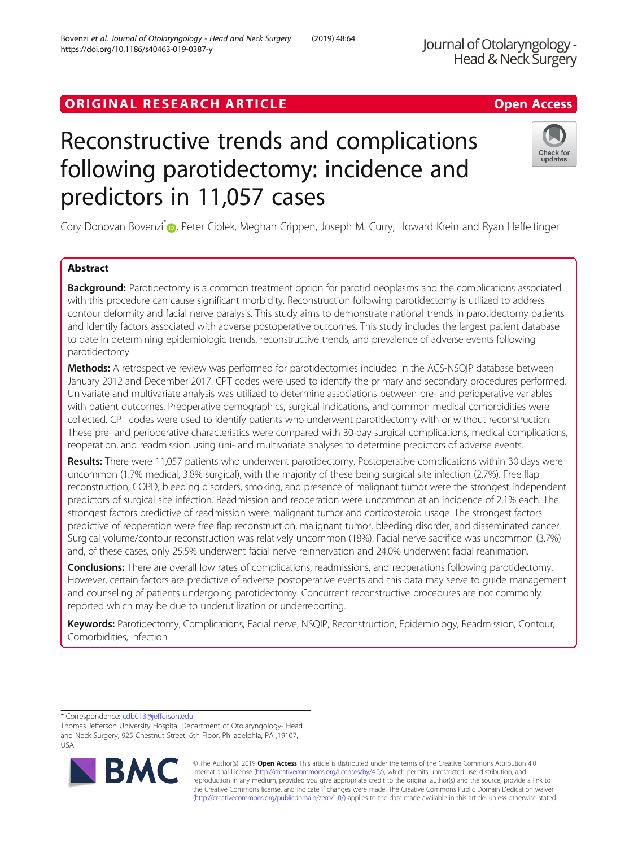# ORIGINAL RESEARCH ARTICLE **External of the Contract Contract Contract Contract Contract Contract Contract Contract Contract Contract Contract Contract Contract Contract Contract Contract Contract Contract Contract Contract**

# Reconstructive trends and complications following parotidectomy: incidence and predictors in 11,057 cases

Cory Donovan Bovenzi<sup>\*</sup> <sub>(D</sub>[,](http://orcid.org/0000-0002-8610-8834) Peter Ciolek, Meghan Crippen, Joseph M. Curry, Howard Krein and Ryan Heffelfinger

## Abstract

Background: Parotidectomy is a common treatment option for parotid neoplasms and the complications associated with this procedure can cause significant morbidity. Reconstruction following parotidectomy is utilized to address contour deformity and facial nerve paralysis. This study aims to demonstrate national trends in parotidectomy patients and identify factors associated with adverse postoperative outcomes. This study includes the largest patient database to date in determining epidemiologic trends, reconstructive trends, and prevalence of adverse events following parotidectomy.

Methods: A retrospective review was performed for parotidectomies included in the ACS-NSQIP database between January 2012 and December 2017. CPT codes were used to identify the primary and secondary procedures performed. Univariate and multivariate analysis was utilized to determine associations between pre- and perioperative variables with patient outcomes. Preoperative demographics, surgical indications, and common medical comorbidities were collected. CPT codes were used to identify patients who underwent parotidectomy with or without reconstruction. These pre- and perioperative characteristics were compared with 30-day surgical complications, medical complications, reoperation, and readmission using uni- and multivariate analyses to determine predictors of adverse events.

Results: There were 11,057 patients who underwent parotidectomy. Postoperative complications within 30 days were uncommon (1.7% medical, 3.8% surgical), with the majority of these being surgical site infection (2.7%). Free flap reconstruction, COPD, bleeding disorders, smoking, and presence of malignant tumor were the strongest independent predictors of surgical site infection. Readmission and reoperation were uncommon at an incidence of 2.1% each. The strongest factors predictive of readmission were malignant tumor and corticosteroid usage. The strongest factors predictive of reoperation were free flap reconstruction, malignant tumor, bleeding disorder, and disseminated cancer. Surgical volume/contour reconstruction was relatively uncommon (18%). Facial nerve sacrifice was uncommon (3.7%) and, of these cases, only 25.5% underwent facial nerve reinnervation and 24.0% underwent facial reanimation.

**Conclusions:** There are overall low rates of complications, readmissions, and reoperations following parotidectomy. However, certain factors are predictive of adverse postoperative events and this data may serve to guide management and counseling of patients undergoing parotidectomy. Concurrent reconstructive procedures are not commonly reported which may be due to underutilization or underreporting.

Keywords: Parotidectomy, Complications, Facial nerve, NSQIP, Reconstruction, Epidemiology, Readmission, Contour, Comorbidities, Infection

\* Correspondence: [cdb013@jefferson.edu](mailto:cdb013@jefferson.edu)

Thomas Jefferson University Hospital Department of Otolaryngology- Head and Neck Surgery, 925 Chestnut Street, 6th Floor, Philadelphia, PA ,19107, USA

> © The Author(s). 2019 **Open Access** This article is distributed under the terms of the Creative Commons Attribution 4.0 International License [\(http://creativecommons.org/licenses/by/4.0/](http://creativecommons.org/licenses/by/4.0/)), which permits unrestricted use, distribution, and reproduction in any medium, provided you give appropriate credit to the original author(s) and the source, provide a link to the Creative Commons license, and indicate if changes were made. The Creative Commons Public Domain Dedication waiver [\(http://creativecommons.org/publicdomain/zero/1.0/](http://creativecommons.org/publicdomain/zero/1.0/)) applies to the data made available in this article, unless otherwise stated.





Bovenzi et al. Journal of Otolaryngology - Head and Neck Surgery (2019) 48:64 https://doi.org/10.1186/s40463-019-0387-y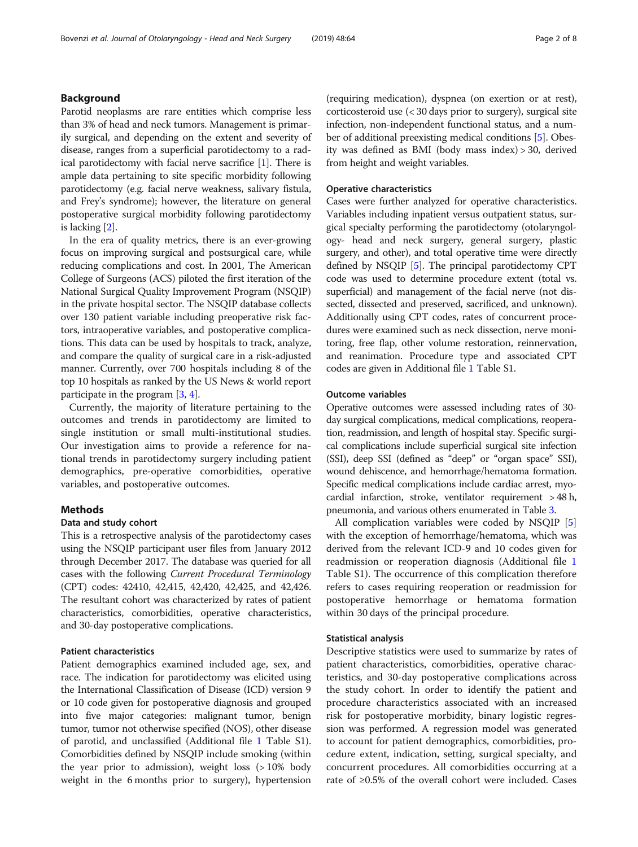#### Background

Parotid neoplasms are rare entities which comprise less than 3% of head and neck tumors. Management is primarily surgical, and depending on the extent and severity of disease, ranges from a superficial parotidectomy to a radical parotidectomy with facial nerve sacrifice [[1\]](#page-6-0). There is ample data pertaining to site specific morbidity following parotidectomy (e.g. facial nerve weakness, salivary fistula, and Frey's syndrome); however, the literature on general postoperative surgical morbidity following parotidectomy is lacking [[2](#page-6-0)].

In the era of quality metrics, there is an ever-growing focus on improving surgical and postsurgical care, while reducing complications and cost. In 2001, The American College of Surgeons (ACS) piloted the first iteration of the National Surgical Quality Improvement Program (NSQIP) in the private hospital sector. The NSQIP database collects over 130 patient variable including preoperative risk factors, intraoperative variables, and postoperative complications. This data can be used by hospitals to track, analyze, and compare the quality of surgical care in a risk-adjusted manner. Currently, over 700 hospitals including 8 of the top 10 hospitals as ranked by the US News & world report participate in the program [\[3](#page-6-0), [4\]](#page-6-0).

Currently, the majority of literature pertaining to the outcomes and trends in parotidectomy are limited to single institution or small multi-institutional studies. Our investigation aims to provide a reference for national trends in parotidectomy surgery including patient demographics, pre-operative comorbidities, operative variables, and postoperative outcomes.

#### Methods

#### Data and study cohort

This is a retrospective analysis of the parotidectomy cases using the NSQIP participant user files from January 2012 through December 2017. The database was queried for all cases with the following Current Procedural Terminology (CPT) codes: 42410, 42,415, 42,420, 42,425, and 42,426. The resultant cohort was characterized by rates of patient characteristics, comorbidities, operative characteristics, and 30-day postoperative complications.

#### Patient characteristics

Patient demographics examined included age, sex, and race. The indication for parotidectomy was elicited using the International Classification of Disease (ICD) version 9 or 10 code given for postoperative diagnosis and grouped into five major categories: malignant tumor, benign tumor, tumor not otherwise specified (NOS), other disease of parotid, and unclassified (Additional file [1](#page-6-0) Table S1). Comorbidities defined by NSQIP include smoking (within the year prior to admission), weight loss  $(>10\%)$  body weight in the 6 months prior to surgery), hypertension

(requiring medication), dyspnea (on exertion or at rest), corticosteroid use (< 30 days prior to surgery), surgical site infection, non-independent functional status, and a number of additional preexisting medical conditions [[5](#page-6-0)]. Obesity was defined as BMI (body mass index) > 30, derived from height and weight variables.

#### Operative characteristics

Cases were further analyzed for operative characteristics. Variables including inpatient versus outpatient status, surgical specialty performing the parotidectomy (otolaryngology- head and neck surgery, general surgery, plastic surgery, and other), and total operative time were directly defined by NSQIP [\[5](#page-6-0)]. The principal parotidectomy CPT code was used to determine procedure extent (total vs. superficial) and management of the facial nerve (not dissected, dissected and preserved, sacrificed, and unknown). Additionally using CPT codes, rates of concurrent procedures were examined such as neck dissection, nerve monitoring, free flap, other volume restoration, reinnervation, and reanimation. Procedure type and associated CPT codes are given in Additional file [1](#page-6-0) Table S1.

#### Outcome variables

Operative outcomes were assessed including rates of 30 day surgical complications, medical complications, reoperation, readmission, and length of hospital stay. Specific surgical complications include superficial surgical site infection (SSI), deep SSI (defined as "deep" or "organ space" SSI), wound dehiscence, and hemorrhage/hematoma formation. Specific medical complications include cardiac arrest, myocardial infarction, stroke, ventilator requirement > 48 h, pneumonia, and various others enumerated in Table [3](#page-3-0).

All complication variables were coded by NSQIP [\[5](#page-6-0)] with the exception of hemorrhage/hematoma, which was derived from the relevant ICD-9 and 10 codes given for readmission or reoperation diagnosis (Additional file [1](#page-6-0) Table S1). The occurrence of this complication therefore refers to cases requiring reoperation or readmission for postoperative hemorrhage or hematoma formation within 30 days of the principal procedure.

#### Statistical analysis

Descriptive statistics were used to summarize by rates of patient characteristics, comorbidities, operative characteristics, and 30-day postoperative complications across the study cohort. In order to identify the patient and procedure characteristics associated with an increased risk for postoperative morbidity, binary logistic regression was performed. A regression model was generated to account for patient demographics, comorbidities, procedure extent, indication, setting, surgical specialty, and concurrent procedures. All comorbidities occurring at a rate of ≥0.5% of the overall cohort were included. Cases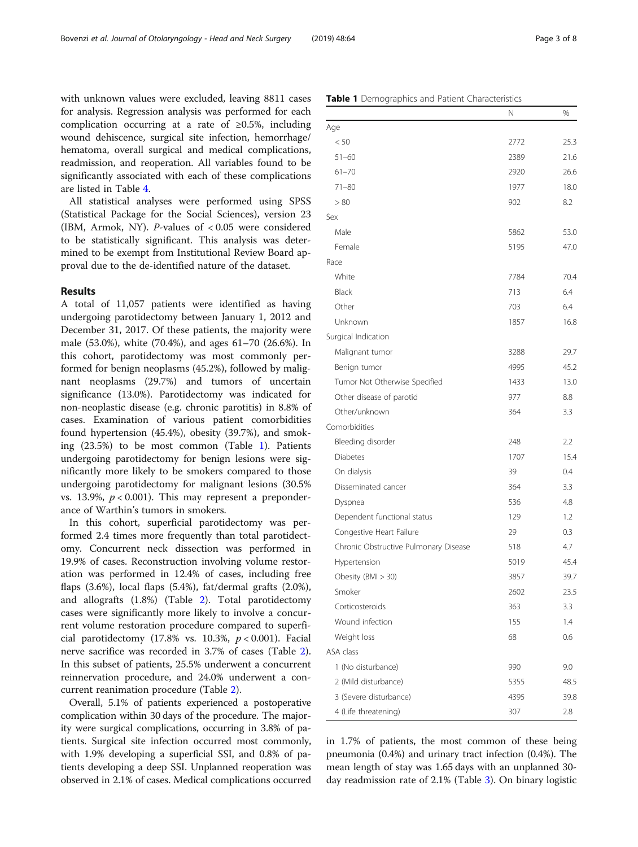with unknown values were excluded, leaving 8811 cases for analysis. Regression analysis was performed for each complication occurring at a rate of  $\geq 0.5\%$ , including wound dehiscence, surgical site infection, hemorrhage/ hematoma, overall surgical and medical complications, readmission, and reoperation. All variables found to be significantly associated with each of these complications are listed in Table [4.](#page-4-0)

All statistical analyses were performed using SPSS (Statistical Package for the Social Sciences), version 23 (IBM, Armok, NY). P-values of < 0.05 were considered to be statistically significant. This analysis was determined to be exempt from Institutional Review Board approval due to the de-identified nature of the dataset.

#### Results

A total of 11,057 patients were identified as having undergoing parotidectomy between January 1, 2012 and December 31, 2017. Of these patients, the majority were male (53.0%), white (70.4%), and ages 61–70 (26.6%). In this cohort, parotidectomy was most commonly performed for benign neoplasms (45.2%), followed by malignant neoplasms (29.7%) and tumors of uncertain significance (13.0%). Parotidectomy was indicated for non-neoplastic disease (e.g. chronic parotitis) in 8.8% of cases. Examination of various patient comorbidities found hypertension (45.4%), obesity (39.7%), and smoking (23.5%) to be most common (Table 1). Patients undergoing parotidectomy for benign lesions were significantly more likely to be smokers compared to those undergoing parotidectomy for malignant lesions (30.5% vs. 13.9%,  $p < 0.001$ ). This may represent a preponderance of Warthin's tumors in smokers.

In this cohort, superficial parotidectomy was performed 2.4 times more frequently than total parotidectomy. Concurrent neck dissection was performed in 19.9% of cases. Reconstruction involving volume restoration was performed in 12.4% of cases, including free flaps (3.6%), local flaps (5.4%), fat/dermal grafts (2.0%), and allografts (1.8%) (Table [2](#page-3-0)). Total parotidectomy cases were significantly more likely to involve a concurrent volume restoration procedure compared to superficial parotidectomy (17.8% vs. 10.3%,  $p < 0.001$ ). Facial nerve sacrifice was recorded in 3.7% of cases (Table [2](#page-3-0)). In this subset of patients, 25.5% underwent a concurrent reinnervation procedure, and 24.0% underwent a concurrent reanimation procedure (Table [2](#page-3-0)).

Overall, 5.1% of patients experienced a postoperative complication within 30 days of the procedure. The majority were surgical complications, occurring in 3.8% of patients. Surgical site infection occurred most commonly, with 1.9% developing a superficial SSI, and 0.8% of patients developing a deep SSI. Unplanned reoperation was observed in 2.1% of cases. Medical complications occurred

|                                       | Ν    | %    |
|---------------------------------------|------|------|
| Age                                   |      |      |
| < 50                                  | 2772 | 25.3 |
| $51 - 60$                             | 2389 | 21.6 |
| $61 - 70$                             | 2920 | 26.6 |
| $71 - 80$                             | 1977 | 18.0 |
| > 80                                  | 902  | 8.2  |
| Sex                                   |      |      |
| Male                                  | 5862 | 53.0 |
| Female                                | 5195 | 47.0 |
| Race                                  |      |      |
| White                                 | 7784 | 70.4 |
| <b>Black</b>                          | 713  | 6.4  |
| Other                                 | 703  | 6.4  |
| Unknown                               | 1857 | 16.8 |
| Surgical Indication                   |      |      |
| Malignant tumor                       | 3288 | 29.7 |
| Benign tumor                          | 4995 | 45.2 |
| Tumor Not Otherwise Specified         | 1433 | 13.0 |
| Other disease of parotid              | 977  | 8.8  |
| Other/unknown                         | 364  | 3.3  |
| Comorbidities                         |      |      |
| Bleeding disorder                     | 248  | 2.2  |
| Diabetes                              | 1707 | 15.4 |
| On dialysis                           | 39   | 0.4  |
| Disseminated cancer                   | 364  | 3.3  |
| Dyspnea                               | 536  | 4.8  |
| Dependent functional status           | 129  | 1.2  |
| Congestive Heart Failure              | 29   | 0.3  |
| Chronic Obstructive Pulmonary Disease | 518  | 4.7  |
| Hypertension                          | 5019 | 45.4 |
| Obesity (BMI > 30)                    | 3857 | 39.7 |
| Smoker                                | 2602 | 23.5 |
| Corticosteroids                       | 363  | 3.3  |
| Wound infection                       | 155  | 1.4  |
| Weight loss                           | 68   | 0.6  |
| ASA class                             |      |      |
| 1 (No disturbance)                    | 990  | 9.0  |
| 2 (Mild disturbance)                  | 5355 | 48.5 |
| 3 (Severe disturbance)                | 4395 | 39.8 |
| 4 (Life threatening)                  | 307  | 2.8  |

in 1.7% of patients, the most common of these being pneumonia (0.4%) and urinary tract infection (0.4%). The mean length of stay was 1.65 days with an unplanned 30 day readmission rate of 2.1% (Table [3\)](#page-3-0). On binary logistic

#### Table 1 Demographics and Patient Characteristics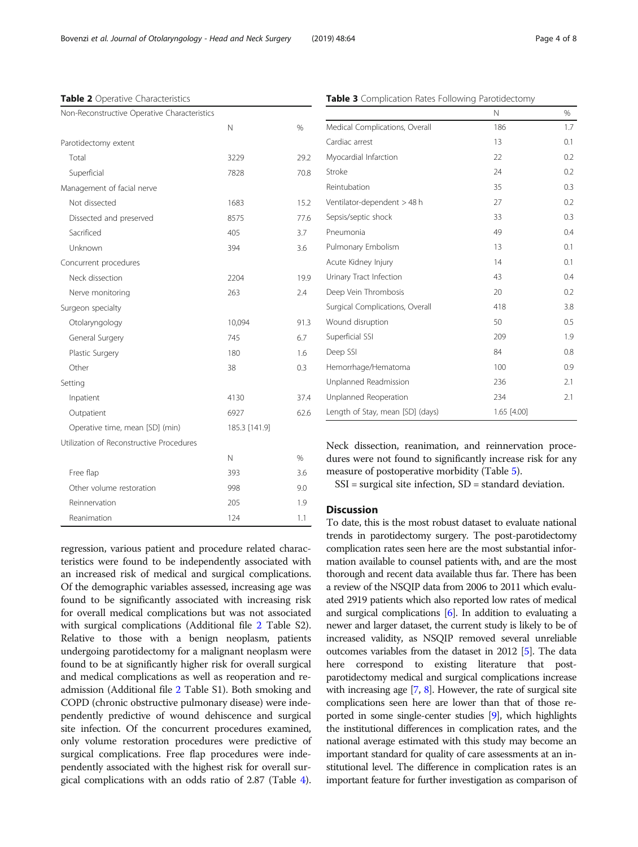#### <span id="page-3-0"></span>Table 2 Operative Characteristics

| <b>Table 2</b> Operative Cridiacteristics    |               |      |
|----------------------------------------------|---------------|------|
| Non-Reconstructive Operative Characteristics |               |      |
|                                              | N             | $\%$ |
| Parotidectomy extent                         |               |      |
| Total                                        | 3229          | 29.2 |
| Superficial                                  | 7828          | 70.8 |
| Management of facial nerve                   |               |      |
| Not dissected                                | 1683          | 15.2 |
| Dissected and preserved                      | 8575          | 77.6 |
| Sacrificed                                   | 405           | 3.7  |
| Unknown                                      | 394           | 3.6  |
| Concurrent procedures                        |               |      |
| Neck dissection                              | 2204          | 19.9 |
| Nerve monitoring                             | 263           | 2.4  |
| Surgeon specialty                            |               |      |
| Otolaryngology                               | 10,094        | 91.3 |
| General Surgery                              | 745           | 6.7  |
| Plastic Surgery                              | 180           | 1.6  |
| Other                                        | 38            | 0.3  |
| Setting                                      |               |      |
| Inpatient                                    | 4130          | 37.4 |
| Outpatient                                   | 6927          | 62.6 |
| Operative time, mean [SD] (min)              | 185.3 [141.9] |      |
| Utilization of Reconstructive Procedures     |               |      |
|                                              | N             | $\%$ |
| Free flap                                    | 393           | 3.6  |
| Other volume restoration                     | 998           | 9.0  |
| Reinnervation                                | 205           | 1.9  |
| Reanimation                                  | 124           | 1.1  |

regression, various patient and procedure related characteristics were found to be independently associated with an increased risk of medical and surgical complications. Of the demographic variables assessed, increasing age was found to be significantly associated with increasing risk for overall medical complications but was not associated with surgical complications (Additional file [2](#page-6-0) Table S2). Relative to those with a benign neoplasm, patients undergoing parotidectomy for a malignant neoplasm were found to be at significantly higher risk for overall surgical and medical complications as well as reoperation and readmission (Additional file [2](#page-6-0) Table S1). Both smoking and COPD (chronic obstructive pulmonary disease) were independently predictive of wound dehiscence and surgical site infection. Of the concurrent procedures examined, only volume restoration procedures were predictive of surgical complications. Free flap procedures were independently associated with the highest risk for overall surgical complications with an odds ratio of 2.87 (Table [4](#page-4-0)).

|                                  | N           | %   |
|----------------------------------|-------------|-----|
| Medical Complications, Overall   | 186         | 1.7 |
| Cardiac arrest                   | 13          | 0.1 |
| Myocardial Infarction            | 22          | 0.2 |
| Stroke                           | 24          | 0.2 |
| Reintubation                     | 35          | 0.3 |
| Ventilator-dependent > 48 h      | 27          | 0.2 |
| Sepsis/septic shock              | 33          | 0.3 |
| Pneumonia                        | 49          | 0.4 |
| Pulmonary Embolism               | 13          | 0.1 |
| Acute Kidney Injury              | 14          | 0.1 |
| Urinary Tract Infection          | 43          | 0.4 |
| Deep Vein Thrombosis             | 20          | 0.2 |
| Surgical Complications, Overall  | 418         | 3.8 |
| Wound disruption                 | 50          | 0.5 |
| Superficial SSI                  | 209         | 1.9 |
| Deep SSI                         | 84          | 0.8 |
| Hemorrhage/Hematoma              | 100         | 0.9 |
| Unplanned Readmission            | 236         | 2.1 |
| Unplanned Reoperation            | 234         | 2.1 |
| Length of Stay, mean [SD] (days) | 1.65 [4.00] |     |

Neck dissection, reanimation, and reinnervation procedures were not found to significantly increase risk for any measure of postoperative morbidity (Table [5](#page-4-0)).

SSI = surgical site infection, SD = standard deviation.

### Discussion

To date, this is the most robust dataset to evaluate national trends in parotidectomy surgery. The post-parotidectomy complication rates seen here are the most substantial information available to counsel patients with, and are the most thorough and recent data available thus far. There has been a review of the NSQIP data from 2006 to 2011 which evaluated 2919 patients which also reported low rates of medical and surgical complications [[6](#page-6-0)]. In addition to evaluating a newer and larger dataset, the current study is likely to be of increased validity, as NSQIP removed several unreliable outcomes variables from the dataset in 2012 [\[5](#page-6-0)]. The data here correspond to existing literature that postparotidectomy medical and surgical complications increase with increasing age  $[7, 8]$  $[7, 8]$  $[7, 8]$ . However, the rate of surgical site complications seen here are lower than that of those reported in some single-center studies [\[9\]](#page-6-0), which highlights the institutional differences in complication rates, and the national average estimated with this study may become an important standard for quality of care assessments at an institutional level. The difference in complication rates is an important feature for further investigation as comparison of

Table 3 Complication Rates Following Parotidectomy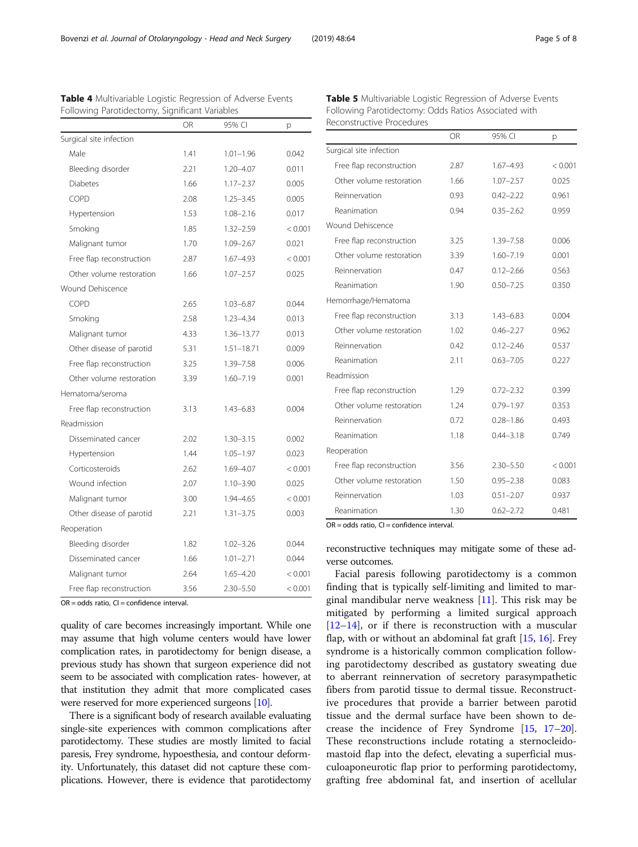OR = odds ratio, CI = confidence interval.

quality of care becomes increasingly important. While one may assume that high volume centers would have lower complication rates, in parotidectomy for benign disease, a previous study has shown that surgeon experience did not seem to be associated with complication rates- however, at that institution they admit that more complicated cases were reserved for more experienced surgeons [\[10](#page-7-0)].

There is a significant body of research available evaluating single-site experiences with common complications after parotidectomy. These studies are mostly limited to facial paresis, Frey syndrome, hypoesthesia, and contour deformity. Unfortunately, this dataset did not capture these complications. However, there is evidence that parotidectomy Table 5 Multivariable Logistic Regression of Adverse Events Following Parotidectomy: Odds Ratios Associated with Reconstructive Procedures

Free flap reconstruction 2.87 1.67–4.93 < 0.001 Other volume restoration 1.66 1.07–2.57 0.025 Reinnervation 0.93 0.42–2.22 0.961 Reanimation 0.94 0.35–2.62 0.959

Free flap reconstruction 3.25 1.39–7.58 0.006 Other volume restoration 3.39 1.60–7.19 0.001 Reinnervation 0.47 0.12–2.66 0.563 Reanimation 1.90 0.50–7.25 0.350

Free flap reconstruction 3.13 1.43–6.83 0.004 Other volume restoration  $1.02$  0.46–2.27 0.962 Reinnervation 0.42 0.12–2.46 0.537 Reanimation 2.11 0.63–7.05 0.227

Free flap reconstruction 1.29 0.72-2.32 0.399 Other volume restoration 1.24 0.79-1.97 0.353 Reinnervation 0.72 0.28–1.86 0.493 Reanimation 1.18 0.44–3.18 0.749

Free flap reconstruction 3.56 2.30–5.50 < 0.001 Other volume restoration 1.50 0.95–2.38 0.083 Reinnervation 1.03 0.51–2.07 0.937 Reanimation 1.30 0.62-2.72 0.481

Surgical site infection

Wound Dehiscence

Hemorrhage/Hematoma

Readmission

Reoperation

 $OR = odds ratio, CI = confidence interval.$ 

OR 95% CI p

| reconstructive techniques may mitigate some of these ad-    |  |  |  |
|-------------------------------------------------------------|--|--|--|
|                                                             |  |  |  |
| verse outcomes.                                             |  |  |  |
| Facial paresis following parotidectomy is a common          |  |  |  |
| finding that is typically self-limiting and limited to mar- |  |  |  |
| ginal mandibular nerve weakness $[11]$ . This risk may be   |  |  |  |
| mitigated by performing a limited surgical approach         |  |  |  |
| $[12-14]$ , or if there is reconstruction with a muscular   |  |  |  |
| flap, with or without an abdominal fat graft [15, 16]. Frey |  |  |  |
| syndrome is a historically common complication follow-      |  |  |  |
| ing parotidectomy described as gustatory sweating due       |  |  |  |
| to aberrant reinnervation of secretory parasympathetic      |  |  |  |
| fibers from parotid tissue to dermal tissue. Reconstruct-   |  |  |  |
| ive procedures that provide a barrier between parotid       |  |  |  |
| tissue and the dermal surface have been shown to de-        |  |  |  |
| crease the incidence of Frey Syndrome [15, 17-20].          |  |  |  |
| These reconstructions include rotating a sternocleido-      |  |  |  |
| mastoid flap into the defect, elevating a superficial mus-  |  |  |  |

culoaponeurotic flap prior to performing parotidectomy, grafting free abdominal fat, and insertion of acellular

|                          | <b>OR</b> | 95% CI         | р       |
|--------------------------|-----------|----------------|---------|
| Surgical site infection  |           |                |         |
| Male                     | 1.41      | $1.01 - 1.96$  | 0.042   |
| Bleeding disorder        | 2.21      | $1.20 - 4.07$  | 0.011   |
| Diabetes                 | 1.66      | $1.17 - 2.37$  | 0.005   |
| COPD                     | 2.08      | $1.25 - 3.45$  | 0.005   |
| Hypertension             | 1.53      | $1.08 - 2.16$  | 0.017   |
| Smoking                  | 1.85      | $1.32 - 2.59$  | < 0.001 |
| Malignant tumor          | 1.70      | $1.09 - 2.67$  | 0.021   |
| Free flap reconstruction | 2.87      | $1.67 - 4.93$  | < 0.001 |
| Other volume restoration | 1.66      | $1.07 - 2.57$  | 0.025   |
| Wound Dehiscence         |           |                |         |
| COPD                     | 2.65      | $1.03 - 6.87$  | 0.044   |
| Smoking                  | 2.58      | $1.23 - 4.34$  | 0.013   |
| Malignant tumor          | 4.33      | 1.36-13.77     | 0.013   |
| Other disease of parotid | 5.31      | $1.51 - 18.71$ | 0.009   |
| Free flap reconstruction | 3.25      | 1.39-7.58      | 0.006   |
| Other volume restoration | 3.39      | $1.60 - 7.19$  | 0.001   |
| Hematoma/seroma          |           |                |         |
| Free flap reconstruction | 3.13      | 1.43-6.83      | 0.004   |
| Readmission              |           |                |         |
| Disseminated cancer      | 2.02      | $1.30 - 3.15$  | 0.002   |
| Hypertension             | 1.44      | $1.05 - 1.97$  | 0.023   |
| Corticosteroids          | 2.62      | 1.69-4.07      | < 0.001 |
| Wound infection          | 2.07      | $1.10 - 3.90$  | 0.025   |
| Malignant tumor          | 3.00      | 1.94-4.65      | < 0.001 |
| Other disease of parotid | 2.21      | $1.31 - 3.75$  | 0.003   |
| Reoperation              |           |                |         |
| Bleeding disorder        | 1.82      | $1.02 - 3.26$  | 0.044   |
| Disseminated cancer      | 1.66      | $1.01 - 2.71$  | 0.044   |
| Malignant tumor          | 2.64      | $1.65 - 4.20$  | < 0.001 |
| Free flap reconstruction | 3.56      | $2.30 - 5.50$  | < 0.001 |

<span id="page-4-0"></span>Table 4 Multivariable Logistic Regression of Adverse Events

Following Parotidectomy, Significant Variables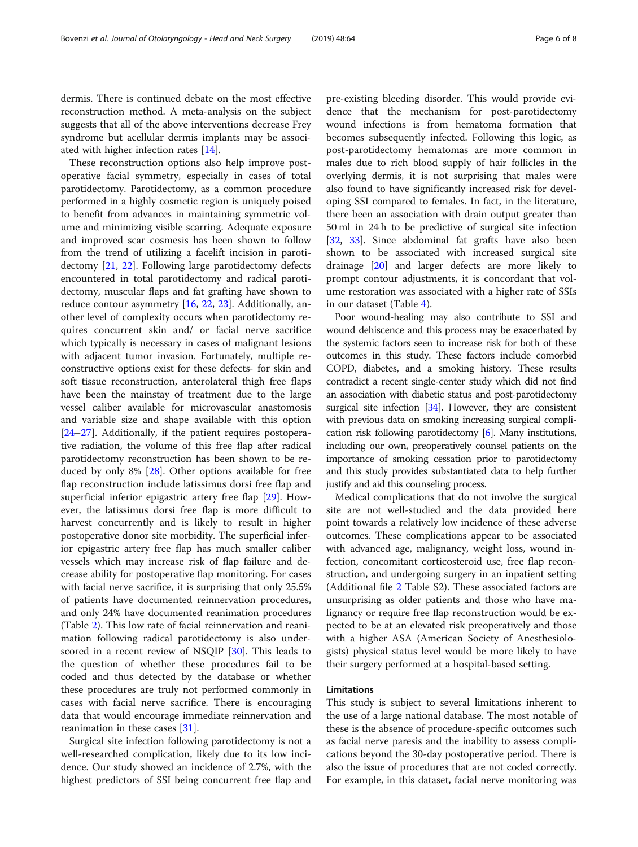dermis. There is continued debate on the most effective reconstruction method. A meta-analysis on the subject suggests that all of the above interventions decrease Frey syndrome but acellular dermis implants may be associated with higher infection rates [[14\]](#page-7-0).

These reconstruction options also help improve postoperative facial symmetry, especially in cases of total parotidectomy. Parotidectomy, as a common procedure performed in a highly cosmetic region is uniquely poised to benefit from advances in maintaining symmetric volume and minimizing visible scarring. Adequate exposure and improved scar cosmesis has been shown to follow from the trend of utilizing a facelift incision in parotidectomy [\[21](#page-7-0), [22\]](#page-7-0). Following large parotidectomy defects encountered in total parotidectomy and radical parotidectomy, muscular flaps and fat grafting have shown to reduce contour asymmetry [\[16](#page-7-0), [22](#page-7-0), [23](#page-7-0)]. Additionally, another level of complexity occurs when parotidectomy requires concurrent skin and/ or facial nerve sacrifice which typically is necessary in cases of malignant lesions with adjacent tumor invasion. Fortunately, multiple reconstructive options exist for these defects- for skin and soft tissue reconstruction, anterolateral thigh free flaps have been the mainstay of treatment due to the large vessel caliber available for microvascular anastomosis and variable size and shape available with this option [[24](#page-7-0)–[27](#page-7-0)]. Additionally, if the patient requires postoperative radiation, the volume of this free flap after radical parotidectomy reconstruction has been shown to be reduced by only 8% [\[28\]](#page-7-0). Other options available for free flap reconstruction include latissimus dorsi free flap and superficial inferior epigastric artery free flap [\[29](#page-7-0)]. However, the latissimus dorsi free flap is more difficult to harvest concurrently and is likely to result in higher postoperative donor site morbidity. The superficial inferior epigastric artery free flap has much smaller caliber vessels which may increase risk of flap failure and decrease ability for postoperative flap monitoring. For cases with facial nerve sacrifice, it is surprising that only 25.5% of patients have documented reinnervation procedures, and only 24% have documented reanimation procedures (Table [2\)](#page-3-0). This low rate of facial reinnervation and reanimation following radical parotidectomy is also underscored in a recent review of NSQIP [\[30](#page-7-0)]. This leads to the question of whether these procedures fail to be coded and thus detected by the database or whether these procedures are truly not performed commonly in cases with facial nerve sacrifice. There is encouraging data that would encourage immediate reinnervation and reanimation in these cases [[31\]](#page-7-0).

Surgical site infection following parotidectomy is not a well-researched complication, likely due to its low incidence. Our study showed an incidence of 2.7%, with the highest predictors of SSI being concurrent free flap and pre-existing bleeding disorder. This would provide evidence that the mechanism for post-parotidectomy wound infections is from hematoma formation that becomes subsequently infected. Following this logic, as post-parotidectomy hematomas are more common in males due to rich blood supply of hair follicles in the overlying dermis, it is not surprising that males were also found to have significantly increased risk for developing SSI compared to females. In fact, in the literature, there been an association with drain output greater than 50 ml in 24 h to be predictive of surgical site infection [[32,](#page-7-0) [33](#page-7-0)]. Since abdominal fat grafts have also been shown to be associated with increased surgical site drainage [\[20](#page-7-0)] and larger defects are more likely to prompt contour adjustments, it is concordant that volume restoration was associated with a higher rate of SSIs in our dataset (Table [4](#page-4-0)).

Poor wound-healing may also contribute to SSI and wound dehiscence and this process may be exacerbated by the systemic factors seen to increase risk for both of these outcomes in this study. These factors include comorbid COPD, diabetes, and a smoking history. These results contradict a recent single-center study which did not find an association with diabetic status and post-parotidectomy surgical site infection [[34](#page-7-0)]. However, they are consistent with previous data on smoking increasing surgical complication risk following parotidectomy [\[6\]](#page-6-0). Many institutions, including our own, preoperatively counsel patients on the importance of smoking cessation prior to parotidectomy and this study provides substantiated data to help further justify and aid this counseling process.

Medical complications that do not involve the surgical site are not well-studied and the data provided here point towards a relatively low incidence of these adverse outcomes. These complications appear to be associated with advanced age, malignancy, weight loss, wound infection, concomitant corticosteroid use, free flap reconstruction, and undergoing surgery in an inpatient setting (Additional file [2](#page-6-0) Table S2). These associated factors are unsurprising as older patients and those who have malignancy or require free flap reconstruction would be expected to be at an elevated risk preoperatively and those with a higher ASA (American Society of Anesthesiologists) physical status level would be more likely to have their surgery performed at a hospital-based setting.

#### Limitations

This study is subject to several limitations inherent to the use of a large national database. The most notable of these is the absence of procedure-specific outcomes such as facial nerve paresis and the inability to assess complications beyond the 30-day postoperative period. There is also the issue of procedures that are not coded correctly. For example, in this dataset, facial nerve monitoring was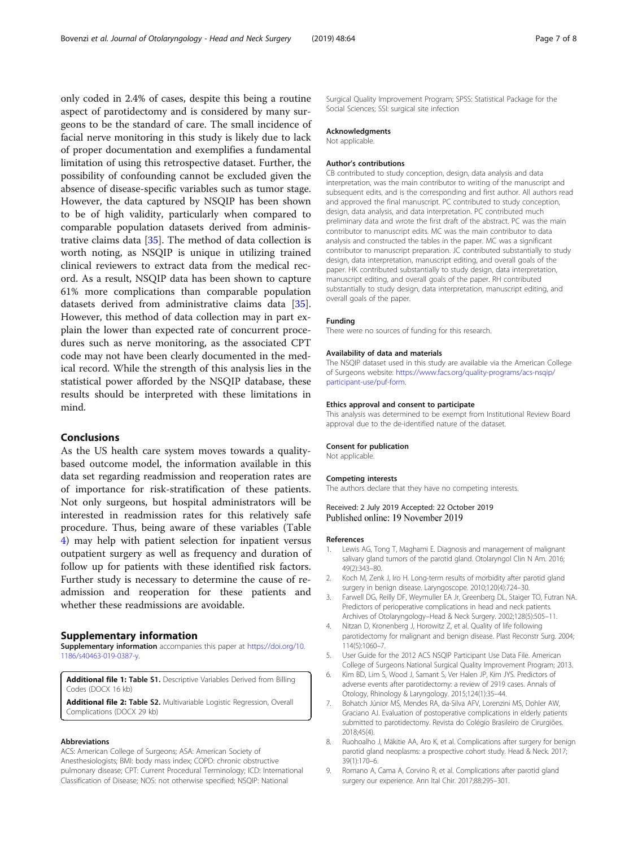<span id="page-6-0"></span>only coded in 2.4% of cases, despite this being a routine aspect of parotidectomy and is considered by many surgeons to be the standard of care. The small incidence of facial nerve monitoring in this study is likely due to lack of proper documentation and exemplifies a fundamental limitation of using this retrospective dataset. Further, the possibility of confounding cannot be excluded given the absence of disease-specific variables such as tumor stage. However, the data captured by NSQIP has been shown to be of high validity, particularly when compared to comparable population datasets derived from administrative claims data [\[35\]](#page-7-0). The method of data collection is worth noting, as NSQIP is unique in utilizing trained clinical reviewers to extract data from the medical record. As a result, NSQIP data has been shown to capture 61% more complications than comparable population datasets derived from administrative claims data [\[35](#page-7-0)]. However, this method of data collection may in part explain the lower than expected rate of concurrent procedures such as nerve monitoring, as the associated CPT code may not have been clearly documented in the med-

ical record. While the strength of this analysis lies in the statistical power afforded by the NSQIP database, these results should be interpreted with these limitations in mind.

#### Conclusions

As the US health care system moves towards a qualitybased outcome model, the information available in this data set regarding readmission and reoperation rates are of importance for risk-stratification of these patients. Not only surgeons, but hospital administrators will be interested in readmission rates for this relatively safe procedure. Thus, being aware of these variables (Table [4\)](#page-4-0) may help with patient selection for inpatient versus outpatient surgery as well as frequency and duration of follow up for patients with these identified risk factors. Further study is necessary to determine the cause of readmission and reoperation for these patients and whether these readmissions are avoidable.

#### Supplementary information

Supplementary information accompanies this paper at [https://doi.org/10.](https://doi.org/10.1186/s40463-019-0387-y) [1186/s40463-019-0387-y](https://doi.org/10.1186/s40463-019-0387-y).

Additional file 1: Table S1. Descriptive Variables Derived from Billing Codes (DOCX 16 kb)

Additional file 2: Table S2. Multivariable Logistic Regression, Overall Complications (DOCX 29 kb)

#### Abbreviations

ACS: American College of Surgeons; ASA: American Society of Anesthesiologists; BMI: body mass index; COPD: chronic obstructive pulmonary disease; CPT: Current Procedural Terminology; ICD: International Classification of Disease; NOS: not otherwise specified; NSQIP: National

Surgical Quality Improvement Program; SPSS: Statistical Package for the Social Sciences; SSI: surgical site infection

#### Acknowledgments

Not applicable.

#### Author's contributions

CB contributed to study conception, design, data analysis and data interpretation, was the main contributor to writing of the manuscript and subsequent edits, and is the corresponding and first author. All authors read and approved the final manuscript. PC contributed to study conception, design, data analysis, and data interpretation. PC contributed much preliminary data and wrote the first draft of the abstract. PC was the main contributor to manuscript edits. MC was the main contributor to data analysis and constructed the tables in the paper. MC was a significant contributor to manuscript preparation. JC contributed substantially to study design, data interpretation, manuscript editing, and overall goals of the paper. HK contributed substantially to study design, data interpretation, manuscript editing, and overall goals of the paper. RH contributed substantially to study design, data interpretation, manuscript editing, and overall goals of the paper.

#### Funding

There were no sources of funding for this research.

#### Availability of data and materials

The NSQIP dataset used in this study are available via the American College of Surgeons website: [https://www.facs.org/quality-programs/acs-nsqip/](https://www.facs.org/quality-programs/acs-nsqip/participant-use/puf-form) [participant-use/puf-form](https://www.facs.org/quality-programs/acs-nsqip/participant-use/puf-form).

#### Ethics approval and consent to participate

This analysis was determined to be exempt from Institutional Review Board approval due to the de-identified nature of the dataset.

#### Consent for publication

Not applicable.

#### Competing interests

The authors declare that they have no competing interests.

#### Received: 2 July 2019 Accepted: 22 October 2019 Published online: 19 November 2019

#### References

- 1. Lewis AG, Tong T, Maghami E. Diagnosis and management of malignant salivary gland tumors of the parotid gland. Otolaryngol Clin N Am. 2016; 49(2):343–80.
- 2. Koch M, Zenk J, Iro H. Long-term results of morbidity after parotid gland surgery in benign disease. Laryngoscope. 2010;120(4):724–30.
- 3. Farwell DG, Reilly DF, Weymuller EA Jr, Greenberg DL, Staiger TO, Futran NA. Predictors of perioperative complications in head and neck patients. Archives of Otolaryngology–Head & Neck Surgery. 2002;128(5):505–11.
- 4. Nitzan D, Kronenberg J, Horowitz Z, et al. Quality of life following parotidectomy for malignant and benign disease. Plast Reconstr Surg. 2004; 114(5):1060–7.
- 5. User Guide for the 2012 ACS NSQIP Participant Use Data File. American College of Surgeons National Surgical Quality Improvement Program; 2013.
- 6. Kim BD, Lim S, Wood J, Samant S, Ver Halen JP, Kim JYS. Predictors of adverse events after parotidectomy: a review of 2919 cases. Annals of Otology, Rhinology & Laryngology. 2015;124(1):35–44.
- 7. Bohatch Júnior MS, Mendes RA, da-Silva AFV, Lorenzini MS, Dohler AW, Graciano AJ. Evaluation of postoperative complications in elderly patients submitted to parotidectomy. Revista do Colégio Brasileiro de Cirurgiões. 2018;45(4).
- 8. Ruohoalho J, Mäkitie AA, Aro K, et al. Complications after surgery for benign parotid gland neoplasms: a prospective cohort study. Head & Neck. 2017; 39(1):170–6.
- 9. Romano A, Cama A, Corvino R, et al. Complications after parotid gland surgery our experience. Ann Ital Chir. 2017;88:295–301.